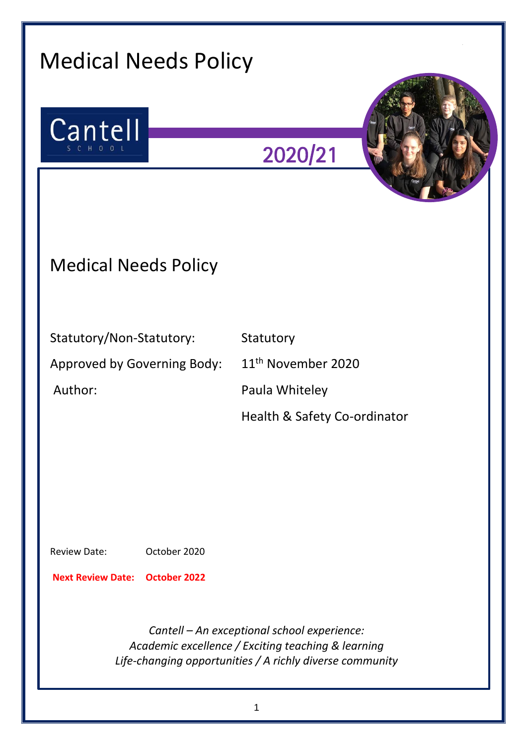| <b>Medical Needs Policy</b>                                                  |                                                                                                                                                               |
|------------------------------------------------------------------------------|---------------------------------------------------------------------------------------------------------------------------------------------------------------|
| Cantell                                                                      | 2020/21                                                                                                                                                       |
| <b>Medical Needs Policy</b>                                                  |                                                                                                                                                               |
| Statutory/Non-Statutory:<br>Approved by Governing Body:<br>Author:           | Statutory<br>11 <sup>th</sup> November 2020<br>Paula Whiteley<br>Health & Safety Co-ordinator                                                                 |
| October 2020<br><b>Review Date:</b><br><b>Next Review Date: October 2022</b> |                                                                                                                                                               |
|                                                                              | Cantell - An exceptional school experience:<br>Academic excellence / Exciting teaching & learning<br>Life-changing opportunities / A richly diverse community |

1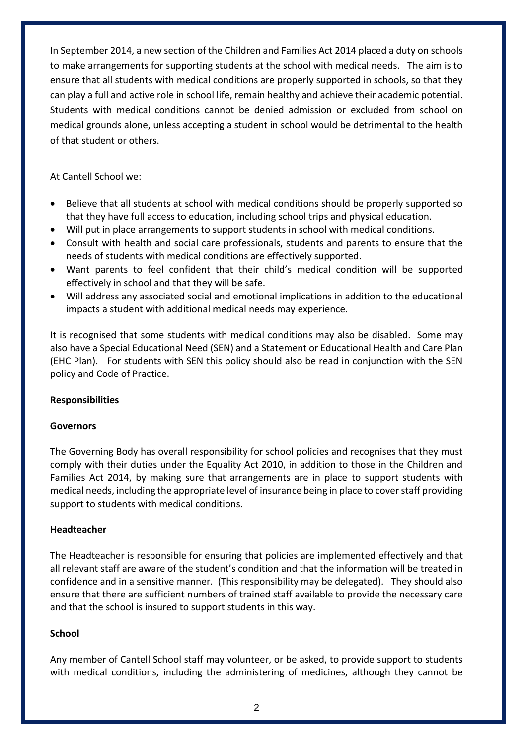In September 2014, a new section of the Children and Families Act 2014 placed a duty on schools to make arrangements for supporting students at the school with medical needs. The aim is to ensure that all students with medical conditions are properly supported in schools, so that they can play a full and active role in school life, remain healthy and achieve their academic potential. Students with medical conditions cannot be denied admission or excluded from school on medical grounds alone, unless accepting a student in school would be detrimental to the health of that student or others.

At Cantell School we:

- Believe that all students at school with medical conditions should be properly supported so that they have full access to education, including school trips and physical education.
- Will put in place arrangements to support students in school with medical conditions.
- Consult with health and social care professionals, students and parents to ensure that the needs of students with medical conditions are effectively supported.
- Want parents to feel confident that their child's medical condition will be supported effectively in school and that they will be safe.
- Will address any associated social and emotional implications in addition to the educational impacts a student with additional medical needs may experience.

It is recognised that some students with medical conditions may also be disabled. Some may also have a Special Educational Need (SEN) and a Statement or Educational Health and Care Plan (EHC Plan). For students with SEN this policy should also be read in conjunction with the SEN policy and Code of Practice.

# **Responsibilities**

#### **Governors**

The Governing Body has overall responsibility for school policies and recognises that they must comply with their duties under the Equality Act 2010, in addition to those in the Children and Families Act 2014, by making sure that arrangements are in place to support students with medical needs, including the appropriate level of insurance being in place to cover staff providing support to students with medical conditions.

#### **Headteacher**

The Headteacher is responsible for ensuring that policies are implemented effectively and that all relevant staff are aware of the student's condition and that the information will be treated in confidence and in a sensitive manner. (This responsibility may be delegated). They should also ensure that there are sufficient numbers of trained staff available to provide the necessary care and that the school is insured to support students in this way.

#### **School**

Any member of Cantell School staff may volunteer, or be asked, to provide support to students with medical conditions, including the administering of medicines, although they cannot be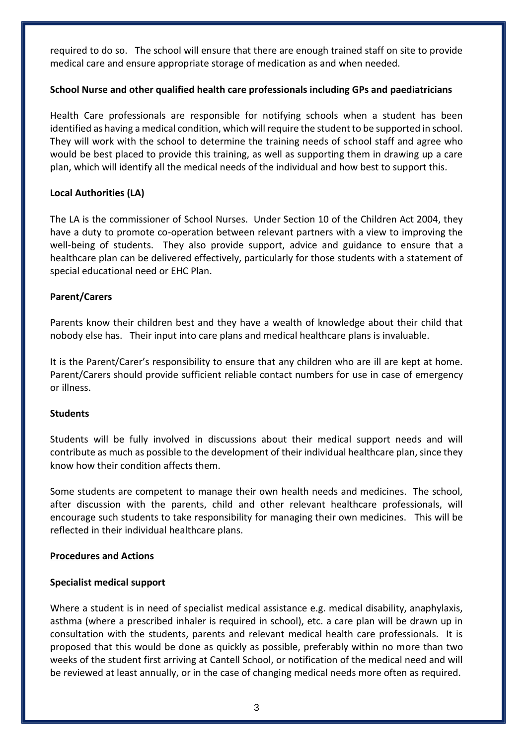required to do so. The school will ensure that there are enough trained staff on site to provide medical care and ensure appropriate storage of medication as and when needed.

### **School Nurse and other qualified health care professionals including GPs and paediatricians**

Health Care professionals are responsible for notifying schools when a student has been identified as having a medical condition, which will require the student to be supported in school. They will work with the school to determine the training needs of school staff and agree who would be best placed to provide this training, as well as supporting them in drawing up a care plan, which will identify all the medical needs of the individual and how best to support this.

### **Local Authorities (LA)**

The LA is the commissioner of School Nurses. Under Section 10 of the Children Act 2004, they have a duty to promote co-operation between relevant partners with a view to improving the well-being of students. They also provide support, advice and guidance to ensure that a healthcare plan can be delivered effectively, particularly for those students with a statement of special educational need or EHC Plan.

#### **Parent/Carers**

Parents know their children best and they have a wealth of knowledge about their child that nobody else has. Their input into care plans and medical healthcare plans is invaluable.

It is the Parent/Carer's responsibility to ensure that any children who are ill are kept at home. Parent/Carers should provide sufficient reliable contact numbers for use in case of emergency or illness.

#### **Students**

Students will be fully involved in discussions about their medical support needs and will contribute as much as possible to the development of their individual healthcare plan, since they know how their condition affects them.

Some students are competent to manage their own health needs and medicines. The school, after discussion with the parents, child and other relevant healthcare professionals, will encourage such students to take responsibility for managing their own medicines. This will be reflected in their individual healthcare plans.

#### **Procedures and Actions**

#### **Specialist medical support**

Where a student is in need of specialist medical assistance e.g. medical disability, anaphylaxis, asthma (where a prescribed inhaler is required in school), etc. a care plan will be drawn up in consultation with the students, parents and relevant medical health care professionals. It is proposed that this would be done as quickly as possible, preferably within no more than two weeks of the student first arriving at Cantell School, or notification of the medical need and will be reviewed at least annually, or in the case of changing medical needs more often as required.